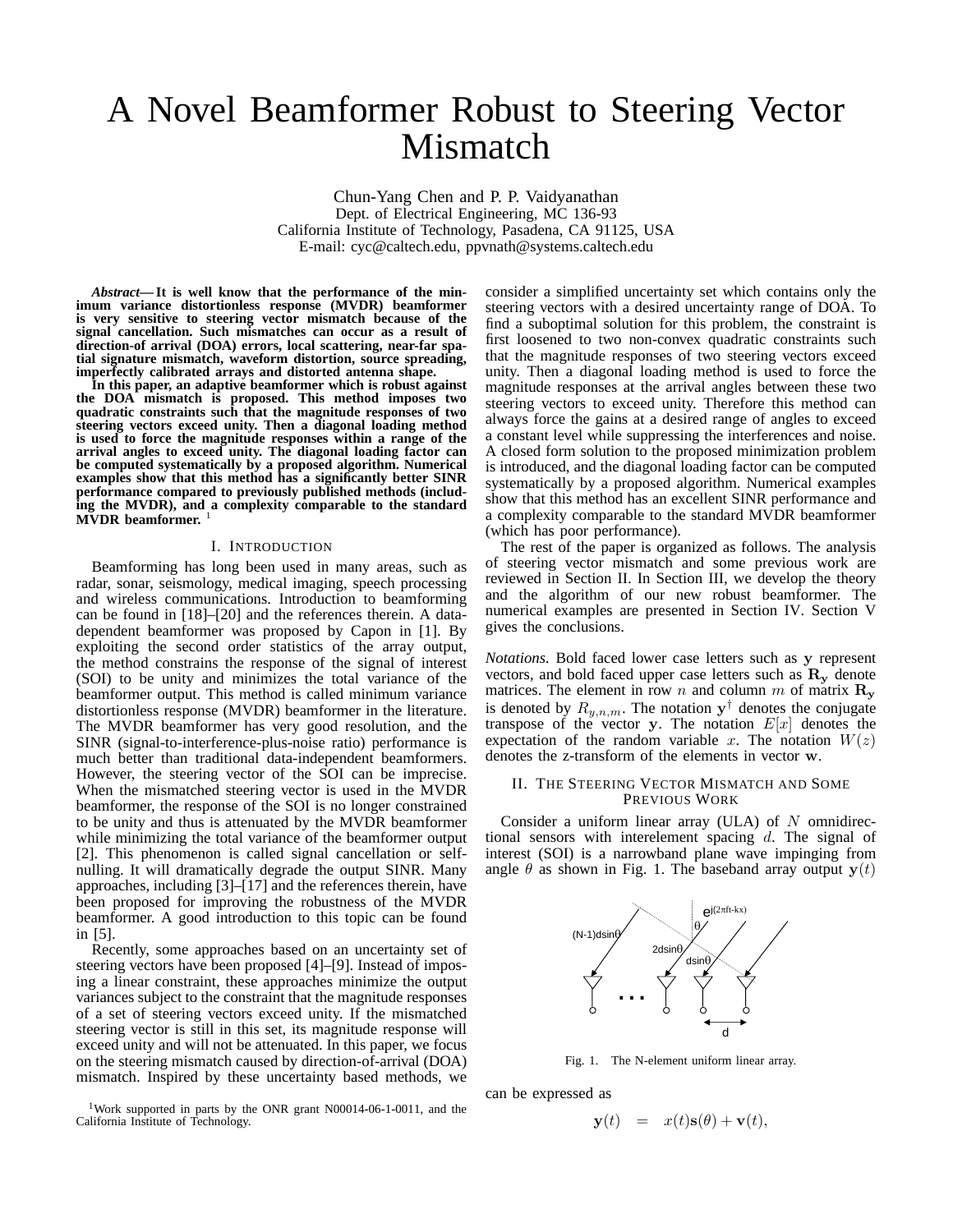# A Novel Beamformer Robust to Steering Vector Mismatch

Chun-Yang Chen and P. P. Vaidyanathan Dept. of Electrical Engineering, MC 136-93 California Institute of Technology, Pasadena, CA 91125, USA E-mail: cyc@caltech.edu, ppvnath@systems.caltech.edu

*Abstract***— It is well know that the performance of the minimum variance distortionless response (MVDR) beamformer is very sensitive to steering vector mismatch because of the signal cancellation. Such mismatches can occur as a result of direction-of arrival (DOA) errors, local scattering, near-far spatial signature mismatch, waveform distortion, source spreading, imperfectly calibrated arrays and distorted antenna shape.**

**In this paper, an adaptive beamformer which is robust against the DOA mismatch is proposed. This method imposes two quadratic constraints such that the magnitude responses of two steering vectors exceed unity. Then a diagonal loading method is used to force the magnitude responses within a range of the arrival angles to exceed unity. The diagonal loading factor can be computed systematically by a proposed algorithm. Numerical examples show that this method has a significantly better SINR performance compared to previously published methods (including the MVDR), and a complexity comparable to the standard MVDR beamformer.** <sup>1</sup>

## I. INTRODUCTION

Beamforming has long been used in many areas, such as radar, sonar, seismology, medical imaging, speech processing and wireless communications. Introduction to beamforming can be found in [18]–[20] and the references therein. A datadependent beamformer was proposed by Capon in [1]. By exploiting the second order statistics of the array output, the method constrains the response of the signal of interest (SOI) to be unity and minimizes the total variance of the beamformer output. This method is called minimum variance distortionless response (MVDR) beamformer in the literature. The MVDR beamformer has very good resolution, and the SINR (signal-to-interference-plus-noise ratio) performance is much better than traditional data-independent beamformers. However, the steering vector of the SOI can be imprecise. When the mismatched steering vector is used in the MVDR beamformer, the response of the SOI is no longer constrained to be unity and thus is attenuated by the MVDR beamformer while minimizing the total variance of the beamformer output [2]. This phenomenon is called signal cancellation or selfnulling. It will dramatically degrade the output SINR. Many approaches, including [3]–[17] and the references therein, have been proposed for improving the robustness of the MVDR beamformer. A good introduction to this topic can be found in [5].

Recently, some approaches based on an uncertainty set of steering vectors have been proposed [4]–[9]. Instead of imposing a linear constraint, these approaches minimize the output variances subject to the constraint that the magnitude responses of a set of steering vectors exceed unity. If the mismatched steering vector is still in this set, its magnitude response will exceed unity and will not be attenuated. In this paper, we focus on the steering mismatch caused by direction-of-arrival (DOA) mismatch. Inspired by these uncertainty based methods, we

<sup>1</sup>Work supported in parts by the ONR grant N00014-06-1-0011, and the California Institute of Technology.

consider a simplified uncertainty set which contains only the steering vectors with a desired uncertainty range of DOA. To find a suboptimal solution for this problem, the constraint is first loosened to two non-convex quadratic constraints such that the magnitude responses of two steering vectors exceed unity. Then a diagonal loading method is used to force the magnitude responses at the arrival angles between these two steering vectors to exceed unity. Therefore this method can always force the gains at a desired range of angles to exceed a constant level while suppressing the interferences and noise. A closed form solution to the proposed minimization problem is introduced, and the diagonal loading factor can be computed systematically by a proposed algorithm. Numerical examples show that this method has an excellent SINR performance and a complexity comparable to the standard MVDR beamformer (which has poor performance).

The rest of the paper is organized as follows. The analysis of steering vector mismatch and some previous work are reviewed in Section II. In Section III, we develop the theory and the algorithm of our new robust beamformer. The numerical examples are presented in Section IV. Section V gives the conclusions.

*Notations.* Bold faced lower case letters such as **y** represent vectors, and bold faced upper case letters such as  $\mathbf{R}_y$  denote matrices. The element in row n and column m of matrix  $\mathbf{R}_y$ is denoted by  $R_{y,n,m}$ . The notation  $y^{\dagger}$  denotes the conjugate transpose of the vector  $y$ . The notation  $E[x]$  denotes the expectation of the random variable x. The notation  $W(z)$ denotes the z-transform of the elements in vector **w**.

## II. THE STEERING VECTOR MISMATCH AND SOME PREVIOUS WORK

Consider a uniform linear array (ULA) of  $N$  omnidirectional sensors with interelement spacing  $d$ . The signal of interest (SOI) is a narrowband plane wave impinging from angle  $\theta$  as shown in Fig. 1. The baseband array output  $y(t)$ 



Fig. 1. The N-element uniform linear array.

can be expressed as

$$
\mathbf{y}(t) = x(t)\mathbf{s}(\theta) + \mathbf{v}(t),
$$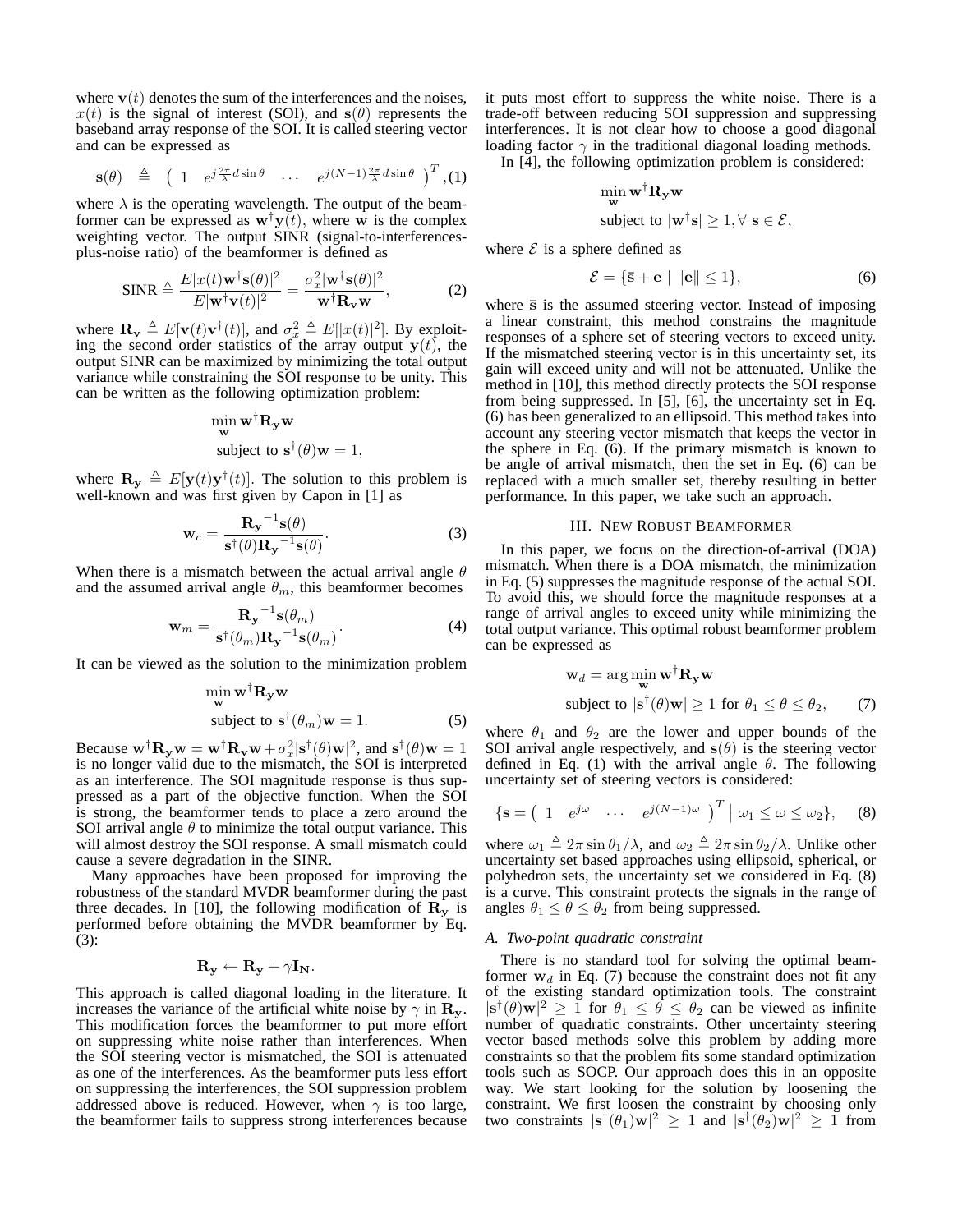where  $\mathbf{v}(t)$  denotes the sum of the interferences and the noises,  $x(t)$  is the signal of interest (SOI), and  $s(\theta)$  represents the baseband array response of the SOI. It is called steering vector and can be expressed as

$$
\mathbf{s}(\theta) \triangleq (1 \ e^{j\frac{2\pi}{\lambda}d\sin\theta} \ \cdots \ e^{j(N-1)\frac{2\pi}{\lambda}d\sin\theta})^T, (1)
$$

where  $\lambda$  is the operating wavelength. The output of the beamformer can be expressed as  $\mathbf{w}^{\dagger} \mathbf{y}(t)$ , where **w** is the complex weighting vector. The output SINR (signal-to-interferencesplus-noise ratio) of the beamformer is defined as

$$
\text{SINR} \triangleq \frac{E|x(t)\mathbf{w}^{\dagger}\mathbf{s}(\theta)|^2}{E|\mathbf{w}^{\dagger}\mathbf{v}(t)|^2} = \frac{\sigma_x^2 |\mathbf{w}^{\dagger}\mathbf{s}(\theta)|^2}{\mathbf{w}^{\dagger}\mathbf{R}_{\mathbf{v}}\mathbf{w}},
$$
 (2)

where  $\mathbf{R}_{\mathbf{v}} \triangleq E[\mathbf{v}(t)\mathbf{v}^{\dagger}(t)]$ , and  $\sigma_x^2 \triangleq E[|x(t)|^2]$ . By exploit-<br>ing the second order statistics of the array output  $\mathbf{v}(t)$ , the ing the second order statistics of the array output  $\mathbf{y}(t)$ , the output SINR can be maximized by minimizing the total output variance while constraining the SOI response to be unity. This can be written as the following optimization problem:

$$
\min_{\mathbf{w}} \mathbf{w}^{\dagger} \mathbf{R}_{\mathbf{y}} \mathbf{w}
$$
  
subject to  $\mathbf{s}^{\dagger}(\theta) \mathbf{w} = 1$ ,

where  $\mathbf{R}_{\mathbf{y}} \triangleq E[\mathbf{y}(t)\mathbf{y}^{\dagger}(t)]$ . The solution to this problem is well-known and was first given by Capon in [1] as well-known and was first given by Capon in [1] as

$$
\mathbf{w}_c = \frac{\mathbf{R_y}^{-1}\mathbf{s}(\theta)}{\mathbf{s}^{\dagger}(\theta)\mathbf{R_y}^{-1}\mathbf{s}(\theta)}.
$$
 (3)

When there is a mismatch between the actual arrival angle  $\theta$ and the assumed arrival angle  $\theta_m$ , this beamformer becomes

$$
\mathbf{w}_{m} = \frac{\mathbf{R}_{\mathbf{y}}^{-1} \mathbf{s}(\theta_{m})}{\mathbf{s}^{\dagger}(\theta_{m}) \mathbf{R}_{\mathbf{y}}^{-1} \mathbf{s}(\theta_{m})}.
$$
 (4)

It can be viewed as the solution to the minimization problem

$$
\min_{\mathbf{w}} \mathbf{w}^{\dagger} \mathbf{R}_{\mathbf{y}} \mathbf{w}
$$
\nsubject to  $\mathbf{s}^{\dagger}(\theta_m) \mathbf{w} = 1.$  (5)

Because  $\mathbf{w}^{\dagger} \mathbf{R}_{\mathbf{y}} \mathbf{w} = \mathbf{w}^{\dagger} \mathbf{R}_{\mathbf{y}} \mathbf{w} + \sigma_x^2 |\mathbf{s}^{\dagger}(\theta) \mathbf{w}|^2$ , and  $\mathbf{s}^{\dagger}(\theta) \mathbf{w} = 1$  is no longer valid due to the mismatch, the SOI is interpreted is no longer valid due to the mismatch, the SOI is interpreted as an interference. The SOI magnitude response is thus suppressed as a part of the objective function. When the SOI is strong, the beamformer tends to place a zero around the SOI arrival angle  $\theta$  to minimize the total output variance. This will almost destroy the SOI response. A small mismatch could cause a severe degradation in the SINR.

Many approaches have been proposed for improving the robustness of the standard MVDR beamformer during the past three decades. In [10], the following modification of  $\mathbf{R}_y$  is performed before obtaining the MVDR beamformer by Eq. (3):

$$
\mathbf{R}_{\mathbf{y}} \leftarrow \mathbf{R}_{\mathbf{y}} + \gamma \mathbf{I}_{\mathbf{N}}.
$$

This approach is called diagonal loading in the literature. It increases the variance of the artificial white noise by  $\gamma$  in  $\mathbf{R}_{\mathbf{v}}$ . This modification forces the beamformer to put more effort on suppressing white noise rather than interferences. When the SOI steering vector is mismatched, the SOI is attenuated as one of the interferences. As the beamformer puts less effort on suppressing the interferences, the SOI suppression problem addressed above is reduced. However, when  $\gamma$  is too large, the beamformer fails to suppress strong interferences because

it puts most effort to suppress the white noise. There is a trade-off between reducing SOI suppression and suppressing interferences. It is not clear how to choose a good diagonal loading factor  $\gamma$  in the traditional diagonal loading methods.

In [4], the following optimization problem is considered:

$$
\min_{\mathbf{w}} \mathbf{w}^\dagger \mathbf{R}_{\mathbf{y}} \mathbf{w}
$$

subject to 
$$
|\mathbf{w}^{\dagger} \mathbf{s}| \geq 1, \forall \ \mathbf{s} \in \mathcal{E},
$$

where  $\mathcal E$  is a sphere defined as

$$
\mathcal{E} = \{\mathbf{\bar{s}} + \mathbf{e} \mid \|\mathbf{e}\| \le 1\},\tag{6}
$$

where  $\bar{s}$  is the assumed steering vector. Instead of imposing a linear constraint, this method constrains the magnitude responses of a sphere set of steering vectors to exceed unity. If the mismatched steering vector is in this uncertainty set, its gain will exceed unity and will not be attenuated. Unlike the method in [10], this method directly protects the SOI response from being suppressed. In [5], [6], the uncertainty set in Eq. (6) has been generalized to an ellipsoid. This method takes into account any steering vector mismatch that keeps the vector in the sphere in Eq. (6). If the primary mismatch is known to be angle of arrival mismatch, then the set in Eq. (6) can be replaced with a much smaller set, thereby resulting in better performance. In this paper, we take such an approach.

#### III. NEW ROBUST BEAMFORMER

In this paper, we focus on the direction-of-arrival (DOA) mismatch. When there is a DOA mismatch, the minimization in Eq. (5) suppresses the magnitude response of the actual SOI. To avoid this, we should force the magnitude responses at a range of arrival angles to exceed unity while minimizing the total output variance. This optimal robust beamformer problem can be expressed as

$$
\mathbf{w}_d = \arg\min_{\mathbf{w}} \mathbf{w}^\dagger \mathbf{R}_{\mathbf{y}} \mathbf{w}
$$
  
subject to  $|\mathbf{s}^\dagger(\theta)\mathbf{w}| \ge 1$  for  $\theta_1 \le \theta \le \theta_2$ , (7)

where  $\theta_1$  and  $\theta_2$  are the lower and upper bounds of the SOI arrival angle respectively, and  $s(\theta)$  is the steering vector defined in Eq. (1) with the arrival angle  $\theta$ . The following uncertainty set of steering vectors is considered:

$$
\{ \mathbf{s} = \begin{pmatrix} 1 & e^{j\omega} & \cdots & e^{j(N-1)\omega} \end{pmatrix}^T \mid \omega_1 \leq \omega \leq \omega_2 \}, \quad (8)
$$

where  $\omega_1 \triangleq 2\pi \sin \theta_1/\lambda$ , and  $\omega_2 \triangleq 2\pi \sin \theta_2/\lambda$ . Unlike other uncertainty set based approaches using ellipsoid, spherical, or polyhedron sets, the uncertainty set we considered in Eq. (8) is a curve. This constraint protects the signals in the range of angles  $\theta_1 \leq \theta \leq \theta_2$  from being suppressed.

#### *A. Two-point quadratic constraint*

There is no standard tool for solving the optimal beamformer  $w_d$  in Eq. (7) because the constraint does not fit any of the existing standard optimization tools. The constraint  $|\mathbf{s}^{\dagger}(\theta)\mathbf{w}|^2 \geq \tilde{1}$  for  $\theta_1 \leq \theta \leq \theta_2$  can be viewed as infinite number of quadratic constraints. Other uncertainty steering number of quadratic constraints. Other uncertainty steering vector based methods solve this problem by adding more constraints so that the problem fits some standard optimization tools such as SOCP. Our approach does this in an opposite way. We start looking for the solution by loosening the constraint. We first loosen the constraint by choosing only two constraints  $|\mathbf{s}^{\dagger}(\theta_1)\mathbf{w}|^2 \ge 1$  and  $|\mathbf{s}^{\dagger}(\theta_2)\mathbf{w}|^2 \ge 1$  from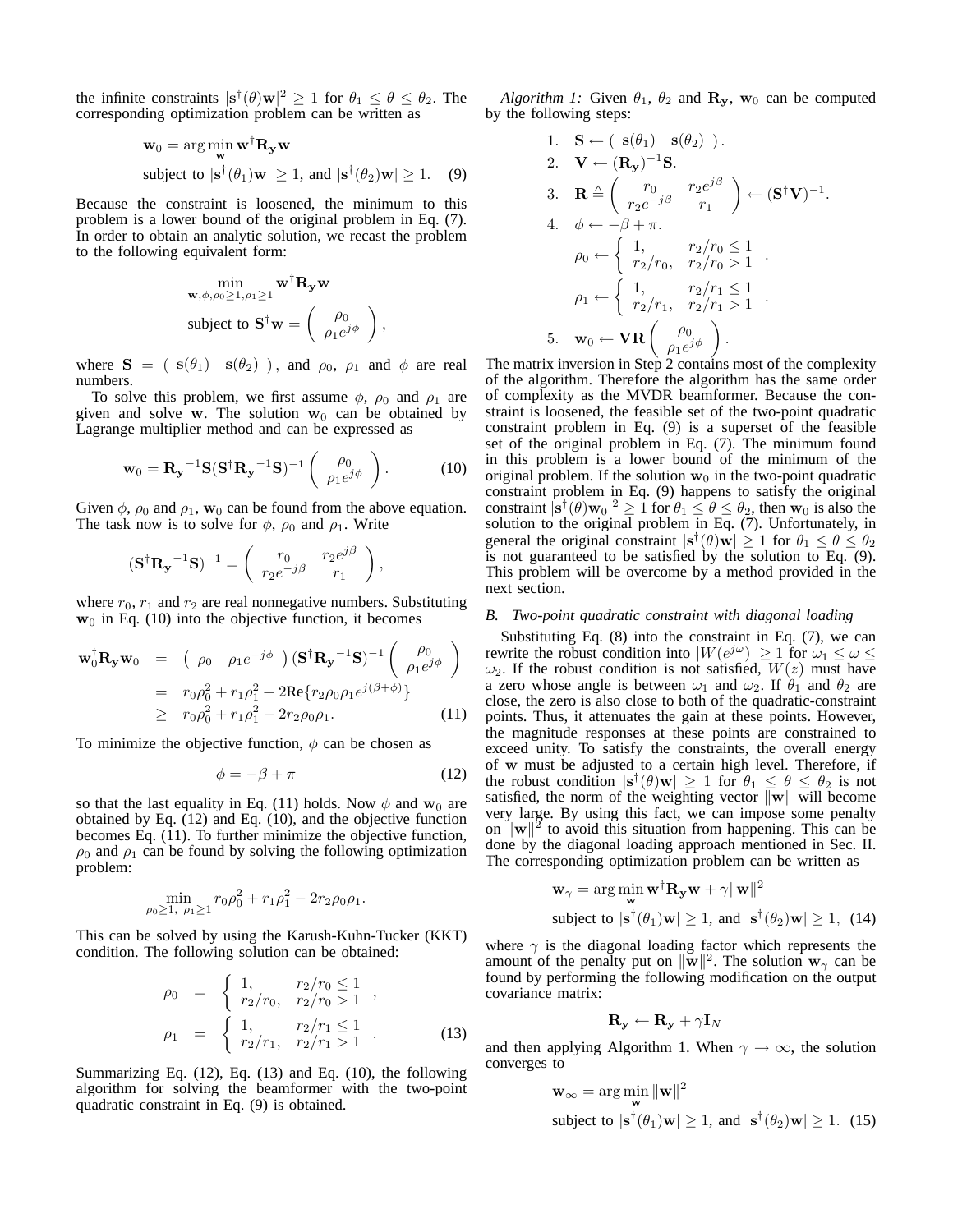the infinite constraints  $|\mathbf{s}^{\dagger}(\theta)\mathbf{w}|^2 \geq 1$  for  $\theta_1 \leq \theta \leq \theta_2$ . The corresponding optimization problem can be written as corresponding optimization problem can be written as

$$
\mathbf{w}_0 = \arg\min_{\mathbf{w}} \mathbf{w}^\dagger \mathbf{R}_{\mathbf{y}} \mathbf{w}
$$
\nsubject to  $|\mathbf{s}^\dagger(\theta_1)\mathbf{w}| \ge 1$ , and  $|\mathbf{s}^\dagger(\theta_2)\mathbf{w}| \ge 1$ . (9)

Because the constraint is loosened, the minimum to this problem is a lower bound of the original problem in Eq. (7). In order to obtain an analytic solution, we recast the problem to the following equivalent form:

$$
\begin{aligned}\n&\min_{\mathbf{w}, \phi, \rho_0 \ge 1, \rho_1 \ge 1} \mathbf{w}^\dagger \mathbf{R}_{\mathbf{y}} \mathbf{w} \\
&\text{subject to } \mathbf{S}^\dagger \mathbf{w} = \begin{pmatrix} \rho_0 \\ \rho_1 e^{j\phi} \end{pmatrix},\n\end{aligned}
$$

where **S** = ( **s**( $\theta_1$ ) **s**( $\theta_2$ )), and  $\rho_0$ ,  $\rho_1$  and  $\phi$  are real numbers.

To solve this problem, we first assume  $\phi$ ,  $\rho_0$  and  $\rho_1$  are given and solve **w**. The solution  $w_0$  can be obtained by Lagrange multiplier method and can be expressed as

$$
\mathbf{w}_0 = \mathbf{R}_\mathbf{y}^{-1} \mathbf{S} (\mathbf{S}^\dagger \mathbf{R}_\mathbf{y}^{-1} \mathbf{S})^{-1} \begin{pmatrix} \rho_0 \\ \rho_1 e^{j\phi} \end{pmatrix} . \tag{10}
$$

Given  $\phi$ ,  $\rho_0$  and  $\rho_1$ ,  $\mathbf{w}_0$  can be found from the above equation. The task now is to solve for  $\phi$ ,  $\rho_0$  and  $\rho_1$ . Write

$$
(\mathbf{S}^{\dagger} \mathbf{R}_{\mathbf{y}}^{-1} \mathbf{S})^{-1} = \begin{pmatrix} r_0 & r_2 e^{j\beta} \\ r_2 e^{-j\beta} & r_1 \end{pmatrix},
$$

where  $r_0$ ,  $r_1$  and  $r_2$  are real nonnegative numbers. Substituting  $w_0$  in Eq. (10) into the objective function, it becomes

$$
\mathbf{w}_0^{\dagger} \mathbf{R}_y \mathbf{w}_0 = (\rho_0 \rho_1 e^{-j\phi}) (\mathbf{S}^{\dagger} \mathbf{R}_y^{-1} \mathbf{S})^{-1} (\rho_0 \rho_0)
$$
  
=  $r_0 \rho_0^2 + r_1 \rho_1^2 + 2 \text{Re} \{r_2 \rho_0 \rho_1 e^{j(\beta + \phi)}\}$   
 $\geq r_0 \rho_0^2 + r_1 \rho_1^2 - 2r_2 \rho_0 \rho_1.$  (11)

To minimize the objective function,  $\phi$  can be chosen as

$$
\phi = -\beta + \pi \tag{12}
$$

so that the last equality in Eq. (11) holds. Now  $\phi$  and  $w_0$  are obtained by Eq. (12) and Eq. (10), and the objective function becomes Eq.  $(11)$ . To further minimize the objective function,  $\rho_0$  and  $\rho_1$  can be found by solving the following optimization problem:

$$
\min_{\rho_0 \ge 1, \ \rho_1 \ge 1} r_0 \rho_0^2 + r_1 \rho_1^2 - 2r_2 \rho_0 \rho_1.
$$

This can be solved by using the Karush-Kuhn-Tucker (KKT) condition. The following solution can be obtained:

$$
\rho_0 = \begin{cases} 1, & r_2/r_0 \le 1 \\ r_2/r_0, & r_2/r_0 > 1 \end{cases},
$$
  
\n
$$
\rho_1 = \begin{cases} 1, & r_2/r_1 \le 1 \\ r_2/r_1, & r_2/r_1 > 1 \end{cases}.
$$
 (13)

Summarizing Eq. (12), Eq. (13) and Eq. (10), the following algorithm for solving the beamformer with the two-point quadratic constraint in Eq. (9) is obtained.

*Algorithm 1:* Given  $\theta_1$ ,  $\theta_2$  and  $\mathbf{R}_v$ ,  $\mathbf{w}_0$  can be computed by the following steps:

1. 
$$
\mathbf{S} \leftarrow (\mathbf{s}(\theta_1) \mathbf{s}(\theta_2))
$$
.  
\n2.  $\mathbf{V} \leftarrow (\mathbf{R_y})^{-1} \mathbf{S}$ .  
\n3.  $\mathbf{R} \triangleq \begin{pmatrix} r_0 & r_2 e^{j\beta} \\ r_2 e^{-j\beta} & r_1 \end{pmatrix} \leftarrow (\mathbf{S}^\dagger \mathbf{V})^{-1}$ .  
\n4.  $\phi \leftarrow -\beta + \pi$ .  
\n $\rho_0 \leftarrow \begin{cases} 1, & r_2/r_0 \le 1 \\ r_2/r_0, & r_2/r_0 > 1 \end{cases}$ .  
\n $\rho_1 \leftarrow \begin{cases} 1, & r_2/r_1 \le 1 \\ r_2/r_1, & r_2/r_1 > 1 \end{cases}$ .  
\n5.  $\mathbf{w}_0 \leftarrow \mathbf{V} \mathbf{R} \begin{pmatrix} \rho_0 \\ \rho_1 e^{j\phi} \end{pmatrix}$ .

The matrix inversion in Step 2 contains most of the complexity of the algorithm. Therefore the algorithm has the same order of complexity as the MVDR beamformer. Because the constraint is loosened, the feasible set of the two-point quadratic constraint problem in Eq. (9) is a superset of the feasible set of the original problem in Eq. (7). The minimum found in this problem is a lower bound of the minimum of the original problem. If the solution  $w_0$  in the two-point quadratic constraint problem in Eq. (9) happens to satisfy the original constraint  $|\mathbf{s}^{\dagger}(\theta)\mathbf{w}_0|^2 \geq 1$  for  $\theta_1 \leq \theta \leq \theta_2$ , then  $\mathbf{w}_0$  is also the solution to the original problem in Eq. (7). Unfortunately, in solution to the original problem in Eq. (7). Unfortunately, in general the original constraint  $|\mathbf{s}^{\dagger}(\theta)\mathbf{w}| \geq 1$  for  $\theta_1 \leq \theta \leq \theta_2$ is not guaranteed to be satisfied by the solution to Eq. (9). This problem will be overcome by a method provided in the next section.

## *B. Two-point quadratic constraint with diagonal loading*

Substituting Eq. (8) into the constraint in Eq. (7), we can rewrite the robust condition into  $|W(e^{j\omega})| \geq 1$  for  $\omega_1 \leq \omega \leq$  $\omega_2$ . If the robust condition is not satisfied,  $W(z)$  must have a zero whose angle is between  $\omega_1$  and  $\omega_2$ . If  $\theta_1$  and  $\theta_2$  are close, the zero is also close to both of the quadratic-constraint points. Thus, it attenuates the gain at these points. However, the magnitude responses at these points are constrained to exceed unity. To satisfy the constraints, the overall energy of **w** must be adjusted to a certain high level. Therefore, if the robust condition  $|\mathbf{s}^{\dagger}(\theta)\mathbf{w}| \geq 1$  for  $\theta_1 \leq \theta \leq \theta_2$  is not satisfied, the norm of the weighting vector  $\|\mathbf{w}\|$  will become very large. By using this fact, we can impose some penalty on  $\|\mathbf{w}\|^2$  to avoid this situation from happening. This can be done by the diagonal loading approach mentioned in Sec. II. The corresponding optimization problem can be written as

$$
\mathbf{w}_{\gamma} = \arg\min_{\mathbf{w}} \mathbf{w}^{\dagger} \mathbf{R}_{\mathbf{y}} \mathbf{w} + \gamma ||\mathbf{w}||^2
$$
  
subject to  $|\mathbf{s}^{\dagger}(\theta_1)\mathbf{w}| \ge 1$ , and  $|\mathbf{s}^{\dagger}(\theta_2)\mathbf{w}| \ge 1$ , (14)

where  $\gamma$  is the diagonal loading factor which represents the amount of the penalty put on  $\|\mathbf{w}\|^2$ . The solution  $\mathbf{w}_\gamma$  can be found by performing the following modification on the output covariance matrix:

$$
\mathbf{R}_{\mathbf{y}} \leftarrow \mathbf{R}_{\mathbf{y}} + \gamma \mathbf{I}_{N}
$$

and then applying Algorithm 1. When  $\gamma \to \infty$ , the solution converges to

$$
\mathbf{w}_{\infty} = \arg\min_{\mathbf{w}} \|\mathbf{w}\|^2
$$
  
subject to  $|\mathbf{s}^\dagger(\theta_1)\mathbf{w}| \ge 1$ , and  $|\mathbf{s}^\dagger(\theta_2)\mathbf{w}| \ge 1$ . (15)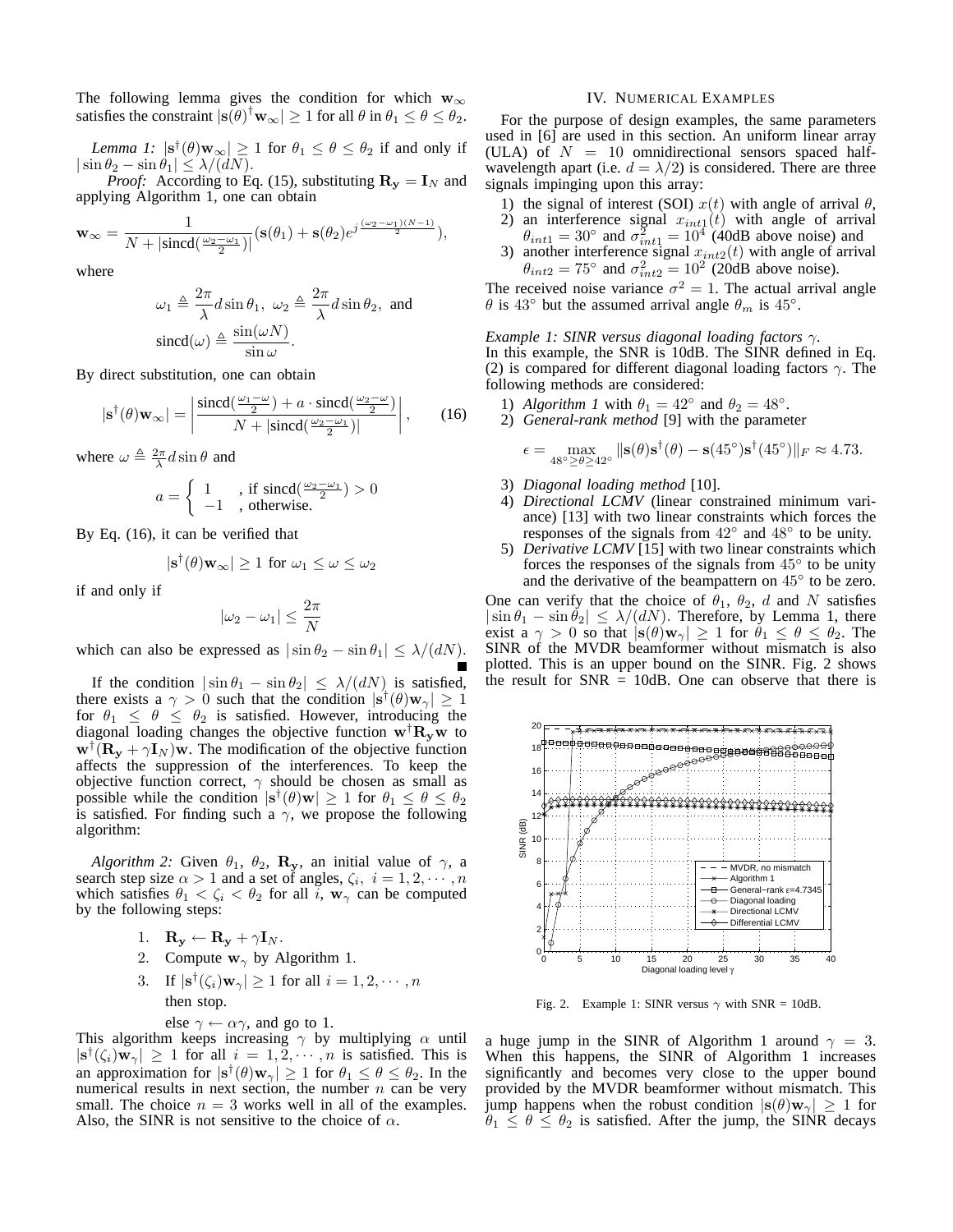The following lemma gives the condition for which  $w_{\infty}$ satisfies the constraint  $|\mathbf{s}(\theta)|^{\dagger} \mathbf{w}_{\infty}| \ge 1$  for all  $\theta$  in  $\theta_1 \le \theta \le \theta_2$ .

*Lemma 1:*  $|\mathbf{s}^{\dagger}(\theta)\mathbf{w}_{\infty}| \ge 1$  for  $\theta_1 \le \theta \le \theta_2$  if and only if  $\ln \theta_2 - \sin \theta_1 \le \lambda/(dN)$ .  $|\sin \theta_2 - \sin \theta_1| \leq \lambda/(\tilde{d}N)$ .<br>*Proof:* According to Eq.

*Proof:* According to Eq. (15), substituting  $\mathbf{R}_y = \mathbf{I}_N$  and applying Algorithm 1, one can obtain

$$
\mathbf{w}_{\infty} = \frac{1}{N + |\text{sincd}\left(\frac{\omega_2 - \omega_1}{2}\right)|} (\mathbf{s}(\theta_1) + \mathbf{s}(\theta_2) e^{j\frac{(\omega_2 - \omega_1)(N-1)}{2}}),
$$

where

$$
\omega_1 \triangleq \frac{2\pi}{\lambda} d \sin \theta_1, \ \omega_2 \triangleq \frac{2\pi}{\lambda} d \sin \theta_2, \text{ and}
$$

$$
\text{sincd}(\omega) \triangleq \frac{\sin(\omega N)}{\sin \omega}.
$$
By direct substitution, one can obtain

$$
|\mathbf{s}^{\dagger}(\theta)\mathbf{w}_{\infty}| = \left| \frac{\text{sincd}(\frac{\omega_1 - \omega}{2}) + a \cdot \text{sincd}(\frac{\omega_2 - \omega}{2})}{N + |\text{sincd}(\frac{\omega_2 - \omega_1}{2})|} \right|, \qquad (16)
$$

where  $\omega \triangleq \frac{2\pi}{\lambda} d \sin \theta$  and

$$
a = \begin{cases} 1 & , \text{ if } \operatorname{sincd}(\frac{\omega_2 - \omega_1}{2}) > 0 \\ -1 & , \text{ otherwise.} \end{cases}
$$

By Eq. (16), it can be verified that

$$
|\mathbf{s}^{\dagger}(\theta)\mathbf{w}_{\infty}| \ge 1
$$
 for  $\omega_1 \le \omega \le \omega_2$ 

if and only if

$$
|\omega_2-\omega_1|\leq \frac{2\pi}{N}
$$

which can also be expressed as  $|\sin \theta_2 - \sin \theta_1| \leq \lambda/(dN)$ .

If the condition  $|\sin \theta_1 - \sin \theta_2| \le \lambda/(dN)$  is satisfied, there exists a  $\gamma > 0$  such that the condition  $|\mathbf{s}^{\dagger}(\theta)\mathbf{w}_{\gamma}| \geq 1$ for  $\theta_1 \leq \theta \leq \theta_2$  is satisfied. However, introducing the diagonal loading changes the objective function  $\mathbf{w}^{\dagger} \mathbf{R}_{\mathbf{y}} \mathbf{w}$  to  $\mathbf{w}^{\dagger}(\mathbf{R}_{\mathbf{y}} + \gamma \mathbf{I}_N)\mathbf{w}$ . The modification of the objective function affects the suppression of the interferences. To keep the objective function correct,  $\gamma$  should be chosen as small as possible while the condition  $|\mathbf{s}^{\dagger}(\theta)\mathbf{w}| \geq 1$  for  $\theta_1 \leq \theta \leq \theta_2$ is satisfied. For finding such a  $\gamma$ , we propose the following algorithm:

*Algorithm 2:* Given  $\theta_1$ ,  $\theta_2$ , **R**<sub>y</sub>, an initial value of  $\gamma$ , a search step size  $\alpha > 1$  and a set of angles,  $\zeta_i$ ,  $i = 1, 2, \dots, n$ which satisfies  $\theta_1 < \zeta_i < \theta_2$  for all i,  $\mathbf{w}_{\gamma}$  can be computed by the following steps:

- 1.  $\mathbf{R}_{\mathbf{y}} \leftarrow \mathbf{R}_{\mathbf{y}} + \gamma \mathbf{I}_N.$
- 2. Compute  $\mathbf{w}_{\gamma}$  by Algorithm 1.
- 3. If  $|\mathbf{s}^{\dagger}(\zeta_i)\mathbf{w}_{\gamma}| \geq 1$  for all  $i = 1, 2, \cdots, n$ then stop.

else 
$$
\gamma \leftarrow \alpha \gamma
$$
, and go to 1.

This algorithm keeps increasing  $\gamma$  by multiplying  $\alpha$  until  $|\mathbf{s}^{\dagger}(\zeta_i)\mathbf{w}_{\gamma}| \geq 1$  for all  $i = 1, 2, \cdots, n$  is satisfied. This is an approximation for  $|\mathbf{s}^{\dagger}(\theta)\mathbf{w}_{\gamma}| \geq 1$  for  $\theta_1 \leq \theta \leq \theta_2$ . In the numerical results in next section, the number  $n$  can be very small. The choice  $n = 3$  works well in all of the examples. Also, the SINR is not sensitive to the choice of  $\alpha$ .

#### IV. NUMERICAL EXAMPLES

For the purpose of design examples, the same parameters used in [6] are used in this section. An uniform linear array (ULA) of  $N = 10$  omnidirectional sensors spaced halfwavelength apart (i.e.  $d = \lambda/2$ ) is considered. There are three signals impinging upon this array:

- 1) the signal of interest (SOI)  $x(t)$  with angle of arrival  $\theta$ ,<br>2) an interference signal  $x_{int}(t)$  with angle of arrival
- 2) an interference signal  $x_{int1}(t)$  with angle of arrival  $\theta_{int1} = 30^{\circ}$  and  $\sigma^2 = 10^4$  (40dB above noise) and  $\theta_{int1} = 30^{\circ}$  and  $\sigma_{int1}^{2} = 10^{4}$  (40dB above noise) and another interference signal  $x_{int2}(t)$  with angle of arrive
- 3) another interference signal  $x_{int2}(t)$  with angle of arrival  $\theta_{int2} = 75^{\circ}$  and  $\sigma^2 = 10^2$  (20dB above noise).  $\theta_{int2} = 75^{\circ}$  and  $\sigma_{int2}^2 = 10^{20}$  (20dB above noise).

The received noise variance  $\sigma^2 = 1$ . The actual arrival angle  $\theta$  is 43° but the assumed arrival angle  $\theta_m$  is 45°.  $\theta$  is 43° but the assumed arrival angle  $\theta_m$  is 45°.

### *Example 1: SINR versus diagonal loading factors* γ*.*

In this example, the SNR is 10dB. The SINR defined in Eq. (2) is compared for different diagonal loading factors  $\gamma$ . The following methods are considered:

- 1) *Algorithm 1* with  $\theta_1 = 42^\circ$  and  $\theta_2 = 48^\circ$ .
- 2) *General-rank method* [9] with the parameter

$$
\epsilon = \max_{48^\circ \ge \theta \ge 42^\circ} \|\mathbf{s}(\theta)\mathbf{s}^\dagger(\theta) - \mathbf{s}(45^\circ)\mathbf{s}^\dagger(45^\circ)\|_F \approx 4.73.
$$

- 3) *Diagonal loading method* [10].
- 4) *Directional LCMV* (linear constrained minimum variance) [13] with two linear constraints which forces the responses of the signals from <sup>42</sup>◦ and 48◦ to be unity.
- 5) *Derivative LCMV* [15] with two linear constraints which forces the responses of the signals from  $45^\circ$  to be unity and the derivative of the beampattern on  $45^\circ$  to be zero. and the derivative of the beampattern on  $45^\circ$  to be zero.<br>Suppose that the choice of  $\theta = \theta_0$ , d and N satisfies

One can verify that the choice of  $\theta_1$ ,  $\theta_2$ , d and N satisfies  $|\sin \theta_1 - \sin \theta_2| \leq \lambda/(dN)$ . Therefore, by Lemma 1, there exist a  $\gamma > 0$  so that  $|\mathbf{s}(\theta)\mathbf{w}_{\gamma}| \geq 1$  for  $\theta_1 \leq \theta \leq \theta_2$ . The SINR of the MVDR beamformer without mismatch is also plotted. This is an upper bound on the SINR. Fig. 2 shows the result for  $SNR = 10dB$ . One can observe that there is



Fig. 2. Example 1: SINR versus  $\gamma$  with SNR = 10dB.

a huge jump in the SINR of Algorithm 1 around  $\gamma = 3$ . When this happens, the SINR of Algorithm 1 increases significantly and becomes very close to the upper bound provided by the MVDR beamformer without mismatch. This jump happens when the robust condition  $|\mathbf{s}(\theta)\mathbf{w}_{\gamma}| \geq 1$  for  $\theta_1 \leq \theta \leq \theta_2$  is satisfied. After the jump, the SINR decays